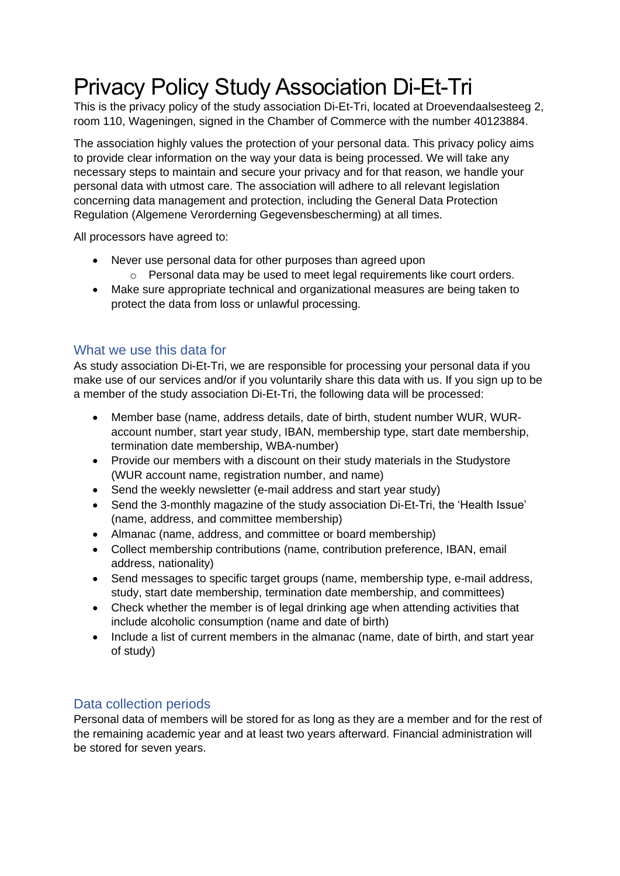# Privacy Policy Study Association Di-Et-Tri

This is the privacy policy of the study association Di-Et-Tri, located at Droevendaalsesteeg 2, room 110, Wageningen, signed in the Chamber of Commerce with the number 40123884.

The association highly values the protection of your personal data. This privacy policy aims to provide clear information on the way your data is being processed. We will take any necessary steps to maintain and secure your privacy and for that reason, we handle your personal data with utmost care. The association will adhere to all relevant legislation concerning data management and protection, including the General Data Protection Regulation (Algemene Verorderning Gegevensbescherming) at all times.

All processors have agreed to:

- Never use personal data for other purposes than agreed upon  $\circ$  Personal data may be used to meet legal requirements like court orders.
- Make sure appropriate technical and organizational measures are being taken to protect the data from loss or unlawful processing.

### What we use this data for

As study association Di-Et-Tri, we are responsible for processing your personal data if you make use of our services and/or if you voluntarily share this data with us. If you sign up to be a member of the study association Di-Et-Tri, the following data will be processed:

- Member base (name, address details, date of birth, student number WUR, WURaccount number, start year study, IBAN, membership type, start date membership, termination date membership, WBA-number)
- Provide our members with a discount on their study materials in the Studystore (WUR account name, registration number, and name)
- Send the weekly newsletter (e-mail address and start year study)
- Send the 3-monthly magazine of the study association Di-Et-Tri, the 'Health Issue' (name, address, and committee membership)
- Almanac (name, address, and committee or board membership)
- Collect membership contributions (name, contribution preference, IBAN, email address, nationality)
- Send messages to specific target groups (name, membership type, e-mail address, study, start date membership, termination date membership, and committees)
- Check whether the member is of legal drinking age when attending activities that include alcoholic consumption (name and date of birth)
- Include a list of current members in the almanac (name, date of birth, and start year of study)

## Data collection periods

Personal data of members will be stored for as long as they are a member and for the rest of the remaining academic year and at least two years afterward. Financial administration will be stored for seven years.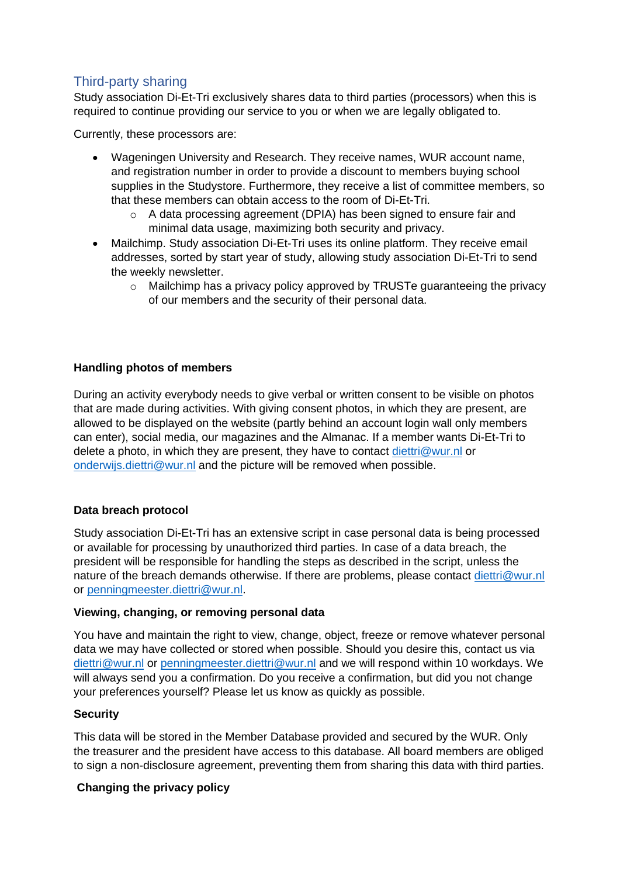## Third-party sharing

Study association Di-Et-Tri exclusively shares data to third parties (processors) when this is required to continue providing our service to you or when we are legally obligated to.

Currently, these processors are:

- Wageningen University and Research. They receive names, WUR account name, and registration number in order to provide a discount to members buying school supplies in the Studystore. Furthermore, they receive a list of committee members, so that these members can obtain access to the room of Di-Et-Tri.
	- $\circ$  A data processing agreement (DPIA) has been signed to ensure fair and minimal data usage, maximizing both security and privacy.
- Mailchimp. Study association Di-Et-Tri uses its online platform. They receive email addresses, sorted by start year of study, allowing study association Di-Et-Tri to send the weekly newsletter.
	- $\circ$  Mailchimp has a privacy policy approved by TRUSTe quaranteeing the privacy of our members and the security of their personal data.

#### **Handling photos of members**

During an activity everybody needs to give verbal or written consent to be visible on photos that are made during activities. With giving consent photos, in which they are present, are allowed to be displayed on the website (partly behind an account login wall only members can enter), social media, our magazines and the Almanac. If a member wants Di-Et-Tri to delete a photo, in which they are present, they have to contact [diettri@wur.nl](mailto:diettri@wur.nl) or [onderwijs.diettri@wur.nl](mailto:onderwijs.diettri@wur.nl) and the picture will be removed when possible.

#### **Data breach protocol**

Study association Di-Et-Tri has an extensive script in case personal data is being processed or available for processing by unauthorized third parties. In case of a data breach, the president will be responsible for handling the steps as described in the script, unless the nature of the breach demands otherwise. If there are problems, please contact [diettri@wur.nl](mailto:diettri@wur.nl) or [penningmeester.diettri@wur.nl.](mailto:penningmeester.diettri@wur.nl)

#### **Viewing, changing, or removing personal data**

You have and maintain the right to view, change, object, freeze or remove whatever personal data we may have collected or stored when possible. Should you desire this, contact us via [diettri@wur.nl](mailto:diettri@wur.nl) or [penningmeester.diettri@wur.nl](mailto:penningmeester.diettri@wur.nl) and we will respond within 10 workdays. We will always send you a confirmation. Do you receive a confirmation, but did you not change your preferences yourself? Please let us know as quickly as possible.

#### **Security**

This data will be stored in the Member Database provided and secured by the WUR. Only the treasurer and the president have access to this database. All board members are obliged to sign a non-disclosure agreement, preventing them from sharing this data with third parties.

#### **Changing the privacy policy**